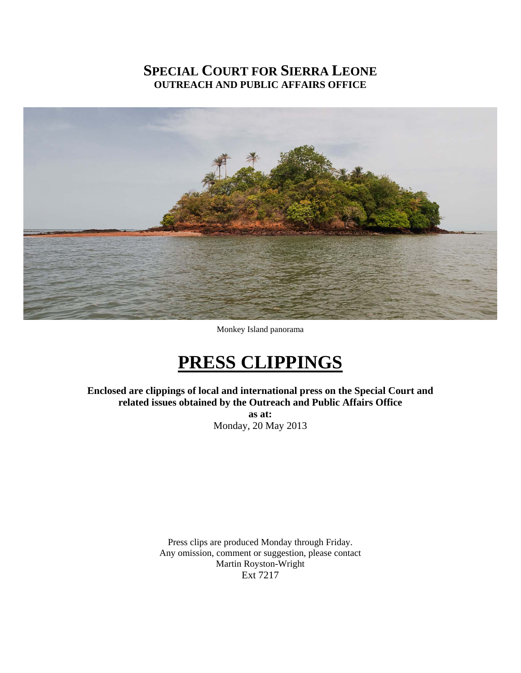## **SPECIAL COURT FOR SIERRA LEONE OUTREACH AND PUBLIC AFFAIRS OFFICE**



Monkey Island panorama

# **PRESS CLIPPINGS**

**Enclosed are clippings of local and international press on the Special Court and related issues obtained by the Outreach and Public Affairs Office** 

**as at:**  Monday, 20 May 2013

Press clips are produced Monday through Friday. Any omission, comment or suggestion, please contact Martin Royston-Wright Ext 7217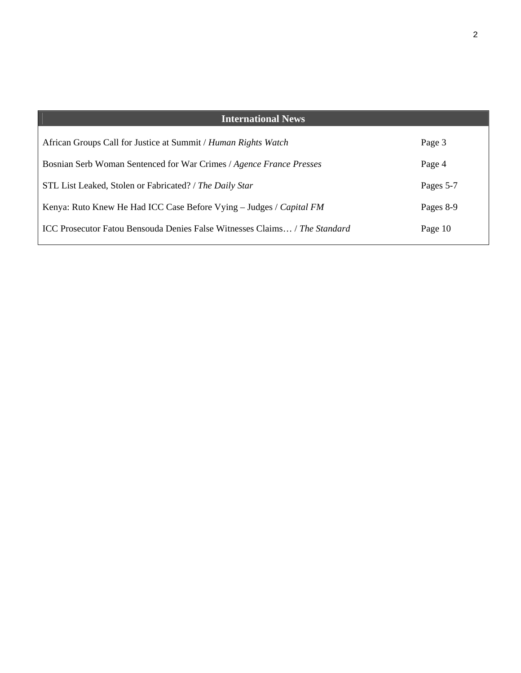| <b>International News</b>                                                         |           |
|-----------------------------------------------------------------------------------|-----------|
| African Groups Call for Justice at Summit / Human Rights Watch                    | Page 3    |
| Bosnian Serb Woman Sentenced for War Crimes / Agence France Presses               | Page 4    |
| STL List Leaked, Stolen or Fabricated? / The Daily Star                           | Pages 5-7 |
| Kenya: Ruto Knew He Had ICC Case Before Vying - Judges / Capital FM               | Pages 8-9 |
| <b>ICC Prosecutor Fatou Bensouda Denies False Witnesses Claims</b> / The Standard | Page 10   |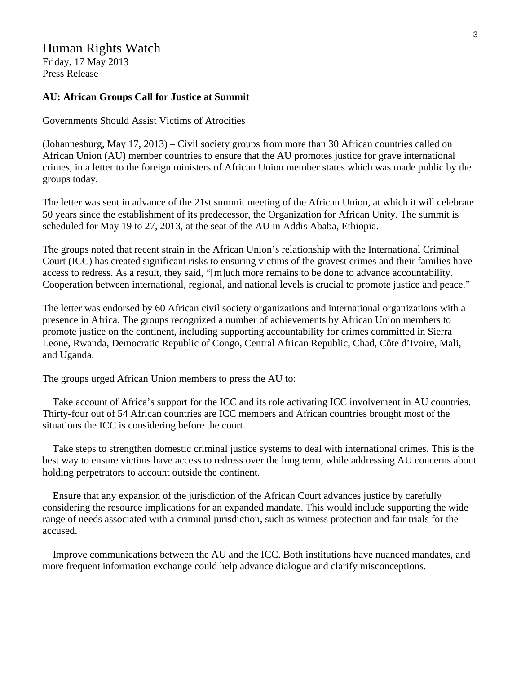## Human Rights Watch

Friday, 17 May 2013 Press Release

#### **AU: African Groups Call for Justice at Summit**

Governments Should Assist Victims of Atrocities

(Johannesburg, May 17, 2013) – Civil society groups from more than 30 African countries called on African Union (AU) member countries to ensure that the AU promotes justice for grave international crimes, in a letter to the foreign ministers of African Union member states which was made public by the groups today.

The letter was sent in advance of the 21st summit meeting of the African Union, at which it will celebrate 50 years since the establishment of its predecessor, the Organization for African Unity. The summit is scheduled for May 19 to 27, 2013, at the seat of the AU in Addis Ababa, Ethiopia.

The groups noted that recent strain in the African Union's relationship with the International Criminal Court (ICC) has created significant risks to ensuring victims of the gravest crimes and their families have access to redress. As a result, they said, "[m]uch more remains to be done to advance accountability. Cooperation between international, regional, and national levels is crucial to promote justice and peace."

The letter was endorsed by 60 African civil society organizations and international organizations with a presence in Africa. The groups recognized a number of achievements by African Union members to promote justice on the continent, including supporting accountability for crimes committed in Sierra Leone, Rwanda, Democratic Republic of Congo, Central African Republic, Chad, Côte d'Ivoire, Mali, and Uganda.

The groups urged African Union members to press the AU to:

 Take account of Africa's support for the ICC and its role activating ICC involvement in AU countries. Thirty-four out of 54 African countries are ICC members and African countries brought most of the situations the ICC is considering before the court.

 Take steps to strengthen domestic criminal justice systems to deal with international crimes. This is the best way to ensure victims have access to redress over the long term, while addressing AU concerns about holding perpetrators to account outside the continent.

 Ensure that any expansion of the jurisdiction of the African Court advances justice by carefully considering the resource implications for an expanded mandate. This would include supporting the wide range of needs associated with a criminal jurisdiction, such as witness protection and fair trials for the accused.

 Improve communications between the AU and the ICC. Both institutions have nuanced mandates, and more frequent information exchange could help advance dialogue and clarify misconceptions.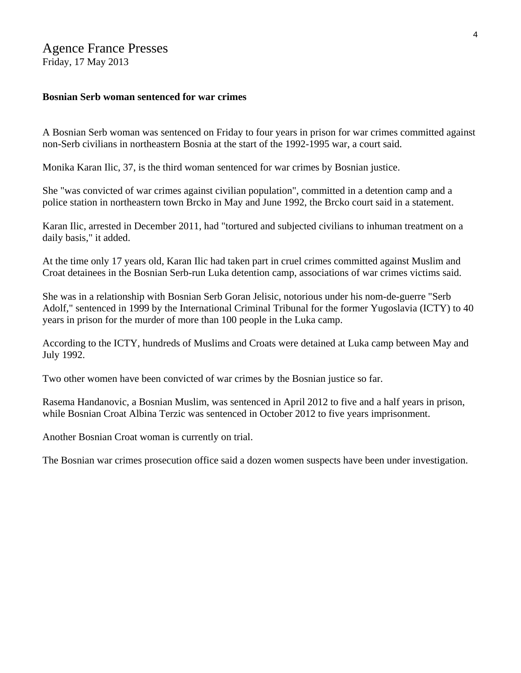## Agence France Presses

Friday, 17 May 2013

## **Bosnian Serb woman sentenced for war crimes**

A Bosnian Serb woman was sentenced on Friday to four years in prison for war crimes committed against non-Serb civilians in northeastern Bosnia at the start of the 1992-1995 war, a court said.

Monika Karan Ilic, 37, is the third woman sentenced for war crimes by Bosnian justice.

She "was convicted of war crimes against civilian population", committed in a detention camp and a police station in northeastern town Brcko in May and June 1992, the Brcko court said in a statement.

Karan Ilic, arrested in December 2011, had "tortured and subjected civilians to inhuman treatment on a daily basis," it added.

At the time only 17 years old, Karan Ilic had taken part in cruel crimes committed against Muslim and Croat detainees in the Bosnian Serb-run Luka detention camp, associations of war crimes victims said.

She was in a relationship with Bosnian Serb Goran Jelisic, notorious under his nom-de-guerre "Serb Adolf," sentenced in 1999 by the International Criminal Tribunal for the former Yugoslavia (ICTY) to 40 years in prison for the murder of more than 100 people in the Luka camp.

According to the ICTY, hundreds of Muslims and Croats were detained at Luka camp between May and July 1992.

Two other women have been convicted of war crimes by the Bosnian justice so far.

Rasema Handanovic, a Bosnian Muslim, was sentenced in April 2012 to five and a half years in prison, while Bosnian Croat Albina Terzic was sentenced in October 2012 to five years imprisonment.

Another Bosnian Croat woman is currently on trial.

The Bosnian war crimes prosecution office said a dozen women suspects have been under investigation.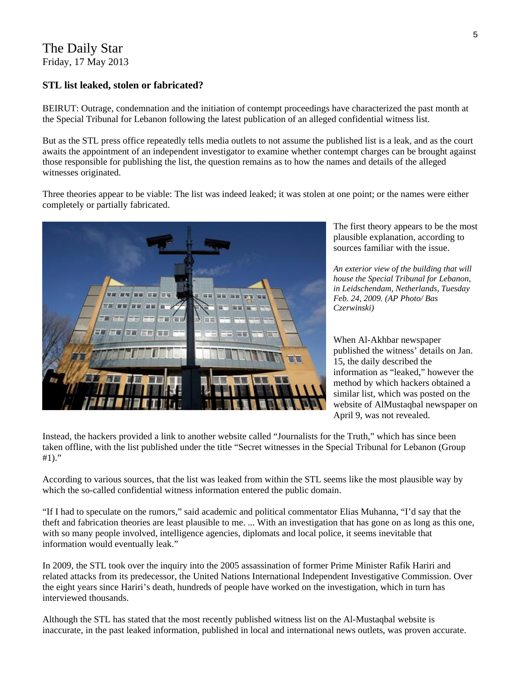## The Daily Star Friday, 17 May 2013

### **STL list leaked, stolen or fabricated?**

BEIRUT: Outrage, condemnation and the initiation of contempt proceedings have characterized the past month at the Special Tribunal for Lebanon following the latest publication of an alleged confidential witness list.

But as the STL press office repeatedly tells media outlets to not assume the published list is a leak, and as the court awaits the appointment of an independent investigator to examine whether contempt charges can be brought against those responsible for publishing the list, the question remains as to how the names and details of the alleged witnesses originated.

Three theories appear to be viable: The list was indeed leaked; it was stolen at one point; or the names were either completely or partially fabricated.



The first theory appears to be the m ost plausible explanation, according to sources familiar with the issue.

*An exterior view of the building that will house the Special Tribunal for Lebanon, in Leidschendam, Netherlands, Tuesday Feb. 24, 2009. (AP Photo/ Bas Czerwinski)* 

When Al-Akhbar newspaper published the witness' details on Jan. 15, the daily described the information as "leaked," however the method by which hackers obtained a similar list, which was posted on the website of AlMustaqbal newspaper on April 9, was not revealed.

Instead, the hackers provided a link to another website called "Journalists for the Truth," which has since been taken offline, with the list published under the title "Secret witnesses in the Special Tribunal for Lebanon (Group #1)."

According to various sources, that the list was leaked from within the STL seems like the most plausible way by which the so-called confidential witness information entered the public domain.

"If I had to speculate on the rumors," said academic and political commentator Elias Muhanna, "I'd say that the theft and fabrication theories are least plausible to me. ... With an investigation that has gone on as long as this one, with so many people involved, intelligence agencies, diplomats and local police, it seems inevitable that information would eventually leak."

In 2009, the STL took over the inquiry into the 2005 assassination of former Prime Minister Rafik Hariri and related attacks from its predecessor, the United Nations International Independent Investigative Commission. Over the eight years since Hariri's death, hundreds of people have worked on the investigation, which in turn has interviewed thousands.

Although the STL has stated that the most recently published witness list on the Al-Mustaqbal website is inaccurate, in the past leaked information, published in local and international news outlets, was proven accurate.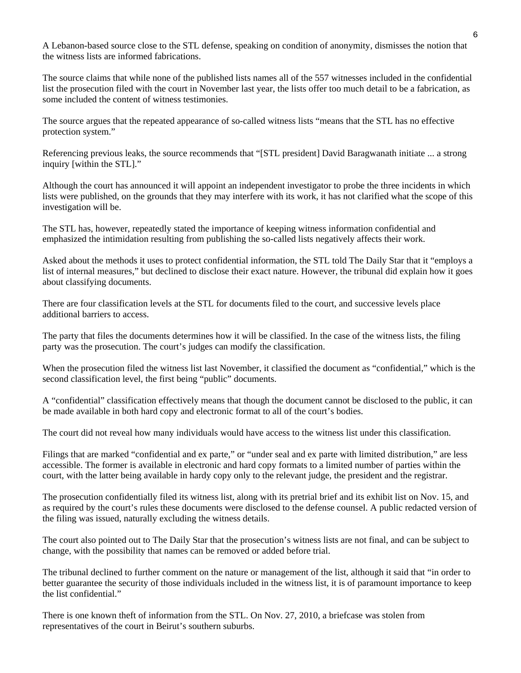A Lebanon-based source close to the STL defense, speaking on condition of anonymity, dismisses the notion that the witness lists are informed fabrications.

The source claims that while none of the published lists names all of the 557 witnesses included in the confidential list the prosecution filed with the court in November last year, the lists offer too much detail to be a fabrication, as some included the content of witness testimonies.

The source argues that the repeated appearance of so-called witness lists "means that the STL has no effective protection system."

Referencing previous leaks, the source recommends that "[STL president] David Baragwanath initiate ... a strong inquiry [within the STL]."

Although the court has announced it will appoint an independent investigator to probe the three incidents in which lists were published, on the grounds that they may interfere with its work, it has not clarified what the scope of this investigation will be.

The STL has, however, repeatedly stated the importance of keeping witness information confidential and emphasized the intimidation resulting from publishing the so-called lists negatively affects their work.

Asked about the methods it uses to protect confidential information, the STL told The Daily Star that it "employs a list of internal measures," but declined to disclose their exact nature. However, the tribunal did explain how it goes about classifying documents.

There are four classification levels at the STL for documents filed to the court, and successive levels place additional barriers to access.

The party that files the documents determines how it will be classified. In the case of the witness lists, the filing party was the prosecution. The court's judges can modify the classification.

When the prosecution filed the witness list last November, it classified the document as "confidential," which is the second classification level, the first being "public" documents.

A "confidential" classification effectively means that though the document cannot be disclosed to the public, it can be made available in both hard copy and electronic format to all of the court's bodies.

The court did not reveal how many individuals would have access to the witness list under this classification.

Filings that are marked "confidential and ex parte," or "under seal and ex parte with limited distribution," are less accessible. The former is available in electronic and hard copy formats to a limited number of parties within the court, with the latter being available in hardy copy only to the relevant judge, the president and the registrar.

The prosecution confidentially filed its witness list, along with its pretrial brief and its exhibit list on Nov. 15, and as required by the court's rules these documents were disclosed to the defense counsel. A public redacted version of the filing was issued, naturally excluding the witness details.

The court also pointed out to The Daily Star that the prosecution's witness lists are not final, and can be subject to change, with the possibility that names can be removed or added before trial.

The tribunal declined to further comment on the nature or management of the list, although it said that "in order to better guarantee the security of those individuals included in the witness list, it is of paramount importance to keep the list confidential."

There is one known theft of information from the STL. On Nov. 27, 2010, a briefcase was stolen from representatives of the court in Beirut's southern suburbs.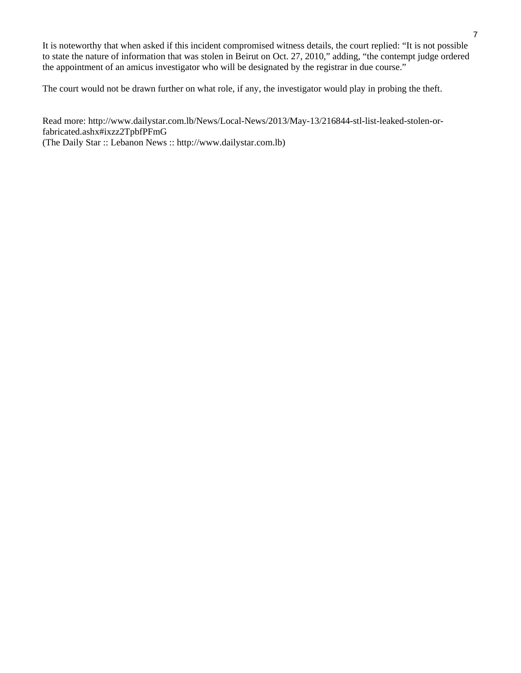It is noteworthy that when asked if this incident compromised witness details, the court replied: "It is not possible to state the nature of information that was stolen in Beirut on Oct. 27, 2010," adding, "the contempt judge ordered the appointment of an amicus investigator who will be designated by the registrar in due course."

The court would not be drawn further on what role, if any, the investigator would play in probing the theft.

Read more: http://www.dailystar.com.lb/News/Local-News/2013/May-13/216844-stl-list-leaked-stolen-orfabricated.ashx#ixzz2TpbfPFmG (The Daily Star :: Lebanon News :: http://www.dailystar.com.lb)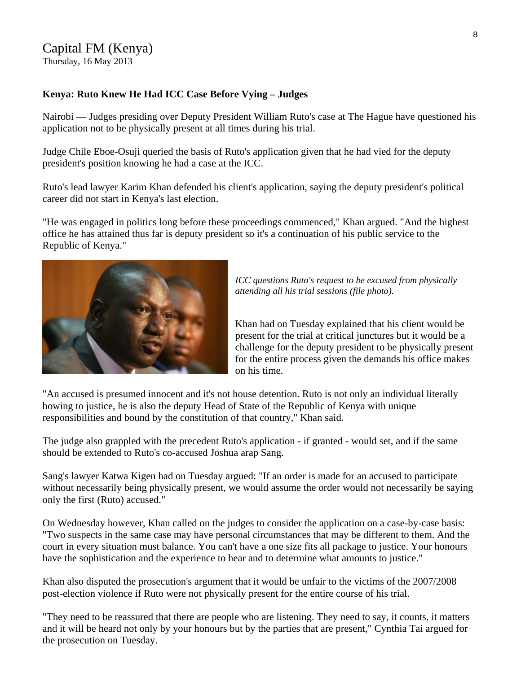## Capital FM (Kenya)

Thursday, 16 May 2013

### **Kenya: Ruto Knew He Had ICC Case Before Vying – Judges**

Nairobi — Judges presiding over Deputy President William Ruto's case at The Hague have questioned his application not to be physically present at all times during his trial.

Judge Chile Eboe-Osuji queried the basis of Ruto's application given that he had vied for the deputy president's position knowing he had a case at the ICC.

Ruto's lead lawyer Karim Khan defended his client's application, saying the deputy president's political career did not start in Kenya's last election.

"He was engaged in politics long before these proceedings commenced," Khan argued. "And the highest office he has attained thus far is deputy president so it's a continuation of his public service to the Republic of Kenya."



*ICC questions Ruto's request to be excused from physically attending all his trial sessions (file photo).* 

Khan had on Tuesday explained that his client would be present for the trial at critical junctures but it would be a challenge for the deputy president to be physically present for the entire process given the demands his office makes on his time.

"An accused is presumed innocent and it's not house detention. Ruto is not only an individual literally bowing to justice, he is also the deputy Head of State of the Republic of Kenya with unique responsibilities and bound by the constitution of that country," Khan said.

The judge also grappled with the precedent Ruto's application - if granted - would set, and if the same should be extended to Ruto's co-accused Joshua arap Sang.

Sang's lawyer Katwa Kigen had on Tuesday argued: "If an order is made for an accused to participate without necessarily being physically present, we would assume the order would not necessarily be saying only the first (Ruto) accused."

On Wednesday however, Khan called on the judges to consider the application on a case-by-case basis: "Two suspects in the same case may have personal circumstances that may be different to them. And the court in every situation must balance. You can't have a one size fits all package to justice. Your honours have the sophistication and the experience to hear and to determine what amounts to justice."

Khan also disputed the prosecution's argument that it would be unfair to the victims of the 2007/2008 post-election violence if Ruto were not physically present for the entire course of his trial.

"They need to be reassured that there are people who are listening. They need to say, it counts, it matters and it will be heard not only by your honours but by the parties that are present," Cynthia Tai argued for the prosecution on Tuesday.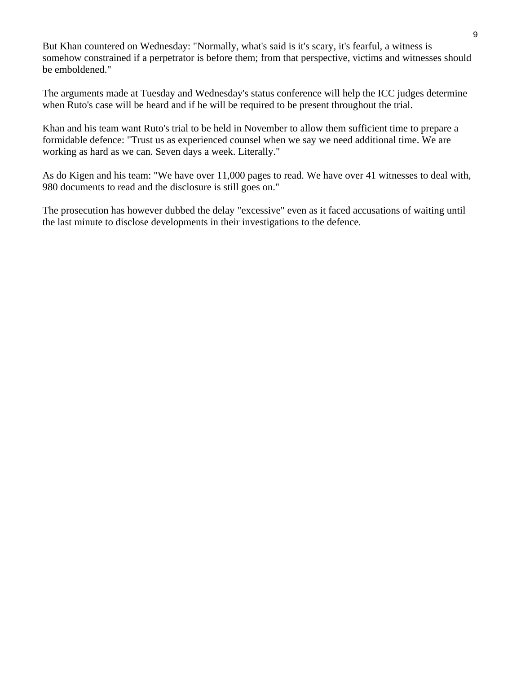But Khan countered on Wednesday: "Normally, what's said is it's scary, it's fearful, a witness is somehow constrained if a perpetrator is before them; from that perspective, victims and witnesses should be emboldened."

The arguments made at Tuesday and Wednesday's status conference will help the ICC judges determine when Ruto's case will be heard and if he will be required to be present throughout the trial.

Khan and his team want Ruto's trial to be held in November to allow them sufficient time to prepare a formidable defence: "Trust us as experienced counsel when we say we need additional time. We are working as hard as we can. Seven days a week. Literally."

As do Kigen and his team: "We have over 11,000 pages to read. We have over 41 witnesses to deal with, 980 documents to read and the disclosure is still goes on."

The prosecution has however dubbed the delay "excessive" even as it faced accusations of waiting until the last minute to disclose developments in their investigations to the defence.